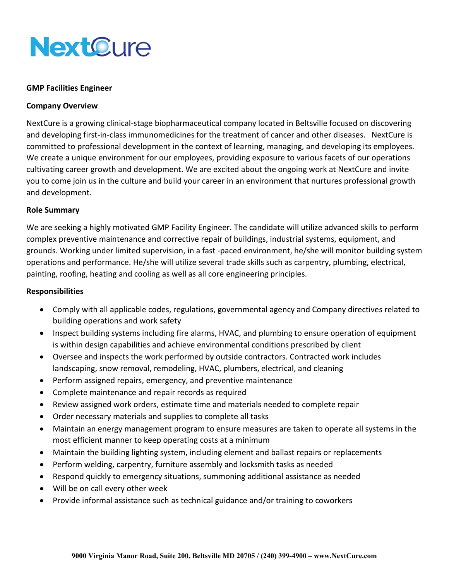

#### **GMP Facilities Engineer**

## **Company Overview**

NextCure is a growing clinical-stage biopharmaceutical company located in Beltsville focused on discovering and developing first-in-class immunomedicines for the treatment of cancer and other diseases. NextCure is committed to professional development in the context of learning, managing, and developing its employees. We create a unique environment for our employees, providing exposure to various facets of our operations cultivating career growth and development. We are excited about the ongoing work at NextCure and invite you to come join us in the culture and build your career in an environment that nurtures professional growth and development.

## **Role Summary**

We are seeking a highly motivated GMP Facility Engineer. The candidate will utilize advanced skills to perform complex preventive maintenance and corrective repair of buildings, industrial systems, equipment, and grounds. Working under limited supervision, in a fast -paced environment, he/she will monitor building system operations and performance. He/she will utilize several trade skills such as carpentry, plumbing, electrical, painting, roofing, heating and cooling as well as all core engineering principles.

#### **Responsibilities**

- Comply with all applicable codes, regulations, governmental agency and Company directives related to building operations and work safety
- Inspect building systems including fire alarms, HVAC, and plumbing to ensure operation of equipment is within design capabilities and achieve environmental conditions prescribed by client
- Oversee and inspects the work performed by outside contractors. Contracted work includes landscaping, snow removal, remodeling, HVAC, plumbers, electrical, and cleaning
- Perform assigned repairs, emergency, and preventive maintenance
- Complete maintenance and repair records as required
- Review assigned work orders, estimate time and materials needed to complete repair
- Order necessary materials and supplies to complete all tasks
- Maintain an energy management program to ensure measures are taken to operate all systems in the most efficient manner to keep operating costs at a minimum
- Maintain the building lighting system, including element and ballast repairs or replacements
- Perform welding, carpentry, furniture assembly and locksmith tasks as needed
- Respond quickly to emergency situations, summoning additional assistance as needed
- Will be on call every other week
- Provide informal assistance such as technical guidance and/or training to coworkers